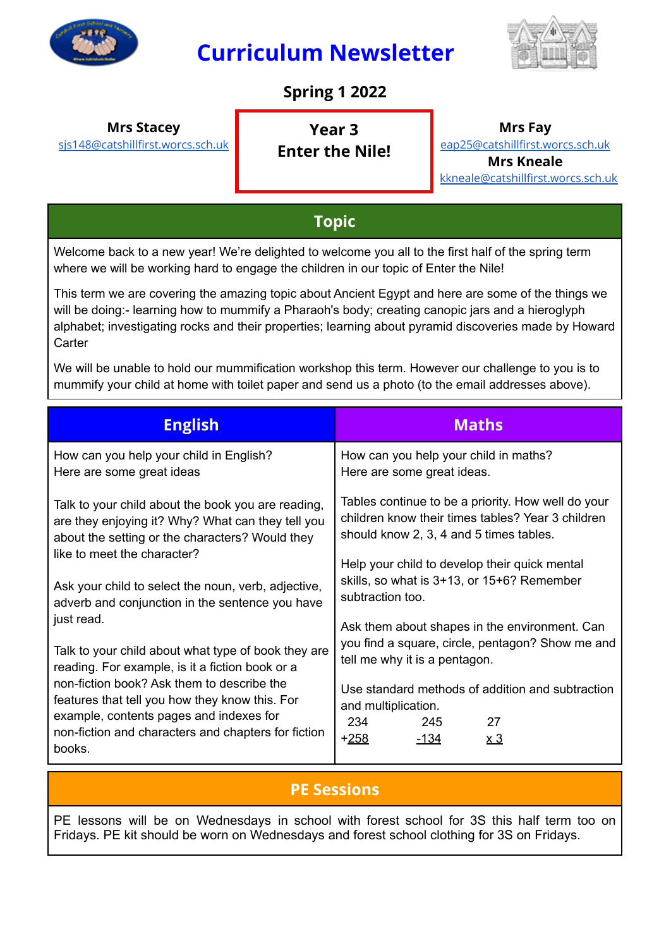

# **Curriculum Newsletter**



### **Spring 1 2022**

**Mrs Stacey**

[sjs148@catshillfirst.worcs.sch.uk](mailto:sjs148@catshillfirst.worcs.sch.uk)

**Year 3 Enter the Nile!** **Mrs Fay**

[eap25@catshillfirst.worcs.sch.uk](mailto:eap25@catshillfirst.worcs.sch.uk) **Mrs Kneale** [kkneale@catshillfirst.worcs.sch.uk](mailto:kkneale@catshillfirst.worcs.sch.uk)

### **Topic**

Welcome back to a new year! We're delighted to welcome you all to the first half of the spring term where we will be working hard to engage the children in our topic of Enter the Nile!

This term we are covering the amazing topic about Ancient Egypt and here are some of the things we will be doing:- learning how to mummify a Pharaoh's body; creating canopic jars and a hieroglyph alphabet; investigating rocks and their properties; learning about pyramid discoveries made by Howard **Carter** 

We will be unable to hold our mummification workshop this term. However our challenge to you is to mummify your child at home with toilet paper and send us a photo (to the email addresses above).

| <b>English</b>                                                                                                                                                                                                                                                                                                     | <b>Maths</b>                                                                                                                                                                                                                                                                                              |  |
|--------------------------------------------------------------------------------------------------------------------------------------------------------------------------------------------------------------------------------------------------------------------------------------------------------------------|-----------------------------------------------------------------------------------------------------------------------------------------------------------------------------------------------------------------------------------------------------------------------------------------------------------|--|
| How can you help your child in English?<br>Here are some great ideas                                                                                                                                                                                                                                               | How can you help your child in maths?<br>Here are some great ideas.                                                                                                                                                                                                                                       |  |
| Talk to your child about the book you are reading,<br>are they enjoying it? Why? What can they tell you<br>about the setting or the characters? Would they<br>like to meet the character?                                                                                                                          | Tables continue to be a priority. How well do your<br>children know their times tables? Year 3 children<br>should know 2, 3, 4 and 5 times tables.                                                                                                                                                        |  |
| Ask your child to select the noun, verb, adjective,<br>adverb and conjunction in the sentence you have<br>just read.                                                                                                                                                                                               | Help your child to develop their quick mental<br>skills, so what is 3+13, or 15+6? Remember<br>subtraction too.<br>Ask them about shapes in the environment. Can<br>you find a square, circle, pentagon? Show me and<br>tell me why it is a pentagon.<br>Use standard methods of addition and subtraction |  |
| Talk to your child about what type of book they are<br>reading. For example, is it a fiction book or a<br>non-fiction book? Ask them to describe the<br>features that tell you how they know this. For<br>example, contents pages and indexes for<br>non-fiction and characters and chapters for fiction<br>books. |                                                                                                                                                                                                                                                                                                           |  |
|                                                                                                                                                                                                                                                                                                                    | and multiplication.<br>234<br>27<br>245<br><u> +258 </u><br>-134<br>x 3                                                                                                                                                                                                                                   |  |

### **PE Sessions**

PE lessons will be on Wednesdays in school with forest school for 3S this half term too on Fridays. PE kit should be worn on Wednesdays and forest school clothing for 3S on Fridays.